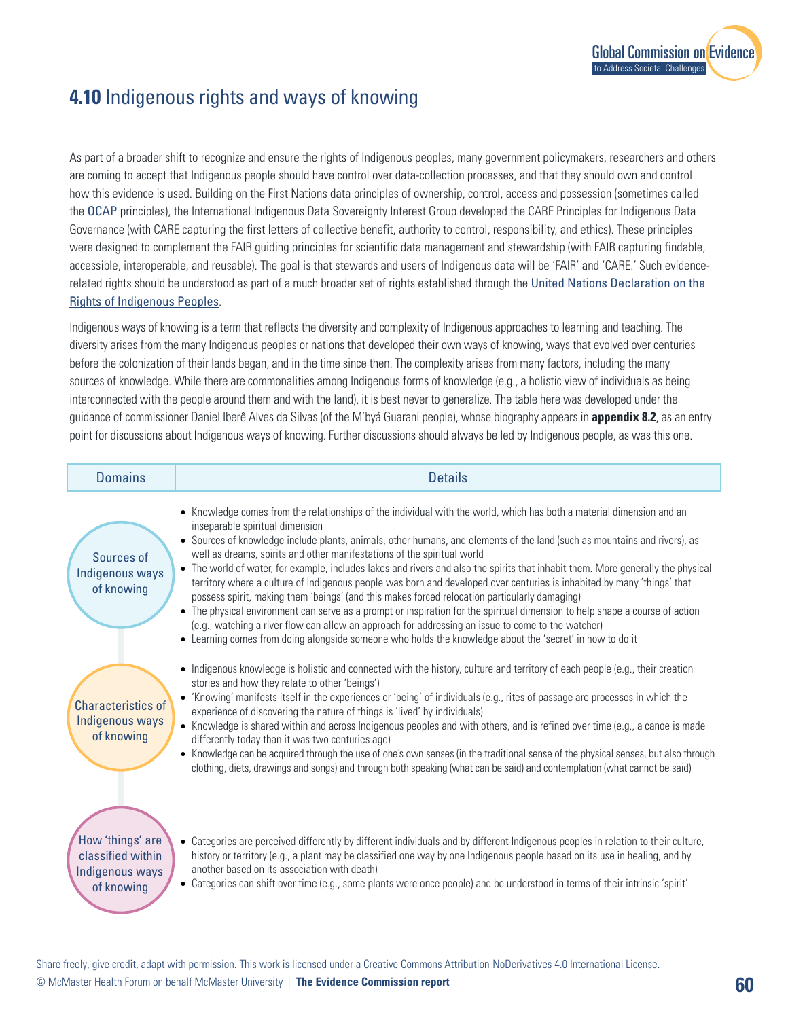

## **4.10** Indigenous rights and ways of knowing

As part of a broader shift to recognize and ensure the rights of Indigenous peoples, many government policymakers, researchers and others are coming to accept that Indigenous people should have control over data-collection processes, and that they should own and control how this evidence is used. Building on the First Nations data principles of ownership, control, access and possession (sometimes called the OCAP principles), the International Indigenous Data Sovereignty Interest Group developed the CARE Principles for Indigenous Data Governance (with CARE capturing the first letters of collective benefit, authority to control, responsibility, and ethics). These principles were designed to complement the FAIR guiding principles for scientific data management and stewardship (with FAIR capturing findable, accessible, interoperable, and reusable). The goal is that stewards and users of Indigenous data wi[ll be 'FAIR' and 'CARE.' Such evidence](https://www.un.org/development/desa/indigenouspeoples/declaration-on-the-rights-of-indigenous-peoples.html)related rights should be understood as part of a much broader set of rights established through the United Nations Declaration on the Rights of Indigenous Peoples.

sources of knowledge. While there are commonalities among Indigenous forms of knowledge (e.g., a holistic view of individuals as being<br>intercepected with the peeple ground them and with the lead), it is heat pever to gener Indigenous ways of knowing is a term that reflects the diversity and complexity of Indigenous approaches to learning and teaching. The diversity arises from the many Indigenous peoples or nations that developed their own ways of knowing, ways that evolved over centuries before the colonization of their lands began, and in the time since then. The complexity arises from many factors, including the many interconnected with the people around them and with the land), it is best never to generalize. The table here was developed under the guidance of commissioner Daniel Iberê Alves da Silvas (of the M'byá Guarani people), whose biography appears in **appendix 8.2**, as an entry point for discussions about Indigenous ways of knowing. Further discussions should always be led by Indigenous people, as was this one.

| <b>Domains</b>                                                         | <b>Details</b>                                                                                                                                                                                                                                                                                                                                                                                                                                                                                                                                                                                                                                                                                                                                                                                                                                                                                                                                                                                                                                                                     |
|------------------------------------------------------------------------|------------------------------------------------------------------------------------------------------------------------------------------------------------------------------------------------------------------------------------------------------------------------------------------------------------------------------------------------------------------------------------------------------------------------------------------------------------------------------------------------------------------------------------------------------------------------------------------------------------------------------------------------------------------------------------------------------------------------------------------------------------------------------------------------------------------------------------------------------------------------------------------------------------------------------------------------------------------------------------------------------------------------------------------------------------------------------------|
| Sources of<br>Indigenous ways<br>of knowing                            | • Knowledge comes from the relationships of the individual with the world, which has both a material dimension and an<br>inseparable spiritual dimension<br>• Sources of knowledge include plants, animals, other humans, and elements of the land (such as mountains and rivers), as<br>well as dreams, spirits and other manifestations of the spiritual world<br>• The world of water, for example, includes lakes and rivers and also the spirits that inhabit them. More generally the physical<br>territory where a culture of Indigenous people was born and developed over centuries is inhabited by many 'things' that<br>possess spirit, making them 'beings' (and this makes forced relocation particularly damaging)<br>• The physical environment can serve as a prompt or inspiration for the spiritual dimension to help shape a course of action<br>(e.g., watching a river flow can allow an approach for addressing an issue to come to the watcher)<br>• Learning comes from doing alongside someone who holds the knowledge about the 'secret' in how to do it |
| Characteristics of<br><b>Indigenous ways</b><br>of knowing             | • Indigenous knowledge is holistic and connected with the history, culture and territory of each people (e.g., their creation<br>stories and how they relate to other 'beings')<br>• 'Knowing' manifests itself in the experiences or 'being' of individuals (e.g., rites of passage are processes in which the<br>experience of discovering the nature of things is 'lived' by individuals)<br>• Knowledge is shared within and across Indigenous peoples and with others, and is refined over time (e.g., a canoe is made<br>differently today than it was two centuries ago)<br>• Knowledge can be acquired through the use of one's own senses (in the traditional sense of the physical senses, but also through<br>clothing, diets, drawings and songs) and through both speaking (what can be said) and contemplation (what cannot be said)                                                                                                                                                                                                                                 |
| How 'things' are<br>classified within<br>Indigenous ways<br>of knowing | • Categories are perceived differently by different individuals and by different Indigenous peoples in relation to their culture,<br>history or territory (e.g., a plant may be classified one way by one Indigenous people based on its use in healing, and by<br>another based on its association with death)<br>• Categories can shift over time (e.g., some plants were once people) and be understood in terms of their intrinsic 'spirit'                                                                                                                                                                                                                                                                                                                                                                                                                                                                                                                                                                                                                                    |